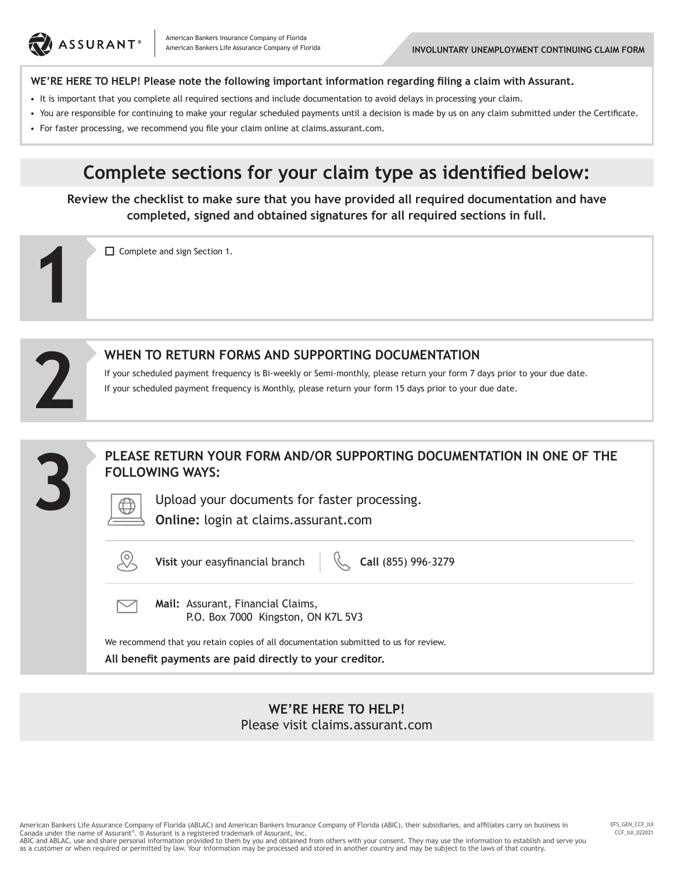

**1**

**2**

## **WE'RE HERE TO HELP! Please note the following important information regarding filing a claim with Assurant.**

- It is important that you complete all required sections and include documentation to avoid delays in processing your claim.
- You are responsible for continuing to make your regular scheduled payments until a decision is made by us on any claim submitted under the Certificate.
- For faster processing, we recommend you file your claim online at claims.assurant.com.

## **Complete sections for your claim type as identified below:**

**Review the checklist to make sure that you have provided all required documentation and have completed, signed and obtained signatures for all required sections in full.**

 $\Box$  Complete and sign Section 1.



If your scheduled payment frequency is Bi-weekly or Semi-monthly, please return your form 7 days prior to your due date. If your scheduled payment frequency is Monthly, please return your form 15 days prior to your due date.



**WE'RE HERE TO HELP!** Please visit claims.assurant.com